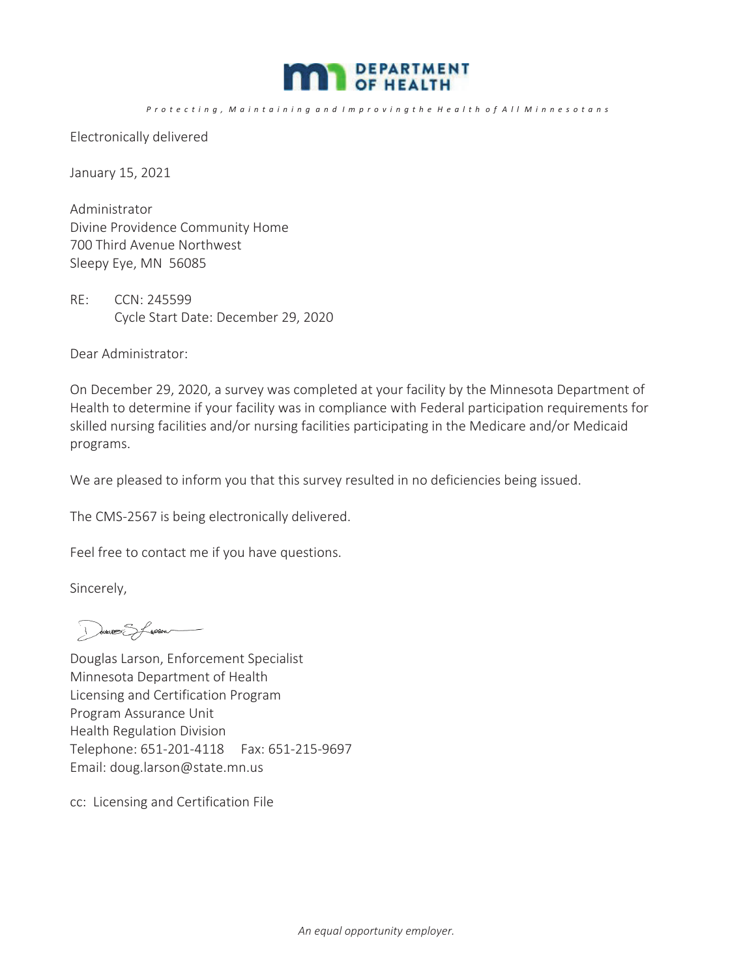

## Protecting, Maintaining and Improvingthe Health of All Minnesotans

Electronically delivered

January 15, 2021

Administrator Divine Providence Community Home 700 Third Avenue Northwest Sleepy Eye, MN 56085

RE: CCN: 245599 Cycle Start Date: December 29, 2020

Dear Administrator:

On December 29, 2020, a survey was completed at your facility by the Minnesota Department of Health to determine if your facility was in compliance with Federal participation requirements for skilled nursing facilities and/or nursing facilities participating in the Medicare and/or Medicaid programs.

We are pleased to inform you that this survey resulted in no deficiencies being issued.

The CMS-2567 is being electronically delivered.

Feel free to contact me if you have questions.

Sincerely,

Davent Speech

Douglas Larson, Enforcement Specialist Minnesota Department of Health Licensing and Certification Program Program Assurance Unit Health Regulation Division Telephone: 651-201-4118 Fax: 651-215-9697 Email: doug.larson@state.mn.us

cc: Licensing and Certification File